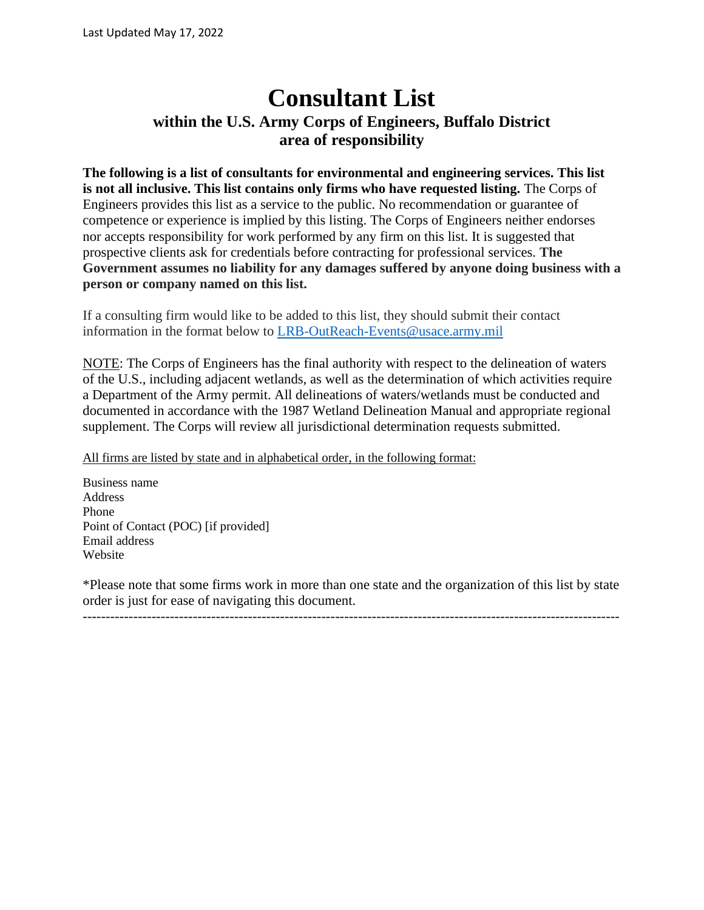# **Consultant List within the U.S. Army Corps of Engineers, Buffalo District area of responsibility**

**The following is a list of consultants for environmental and engineering services. This list is not all inclusive. This list contains only firms who have requested listing.** The Corps of Engineers provides this list as a service to the public. No recommendation or guarantee of competence or experience is implied by this listing. The Corps of Engineers neither endorses nor accepts responsibility for work performed by any firm on this list. It is suggested that prospective clients ask for credentials before contracting for professional services. **The Government assumes no liability for any damages suffered by anyone doing business with a person or company named on this list.**

If a consulting firm would like to be added to this list, they should submit their contact information in the format below to [LRB-OutReach-Events@usace.army.mil](mailto:LRB-OutReach-Events@usace.army.mil)

NOTE: The Corps of Engineers has the final authority with respect to the delineation of waters of the U.S., including adjacent wetlands, as well as the determination of which activities require a Department of the Army permit. All delineations of waters/wetlands must be conducted and documented in accordance with the 1987 Wetland Delineation Manual and appropriate regional supplement. The Corps will review all jurisdictional determination requests submitted.

All firms are listed by state and in alphabetical order, in the following format:

Business name Address Phone Point of Contact (POC) [if provided] Email address Website

\*Please note that some firms work in more than one state and the organization of this list by state order is just for ease of navigating this document.

---------------------------------------------------------------------------------------------------------------------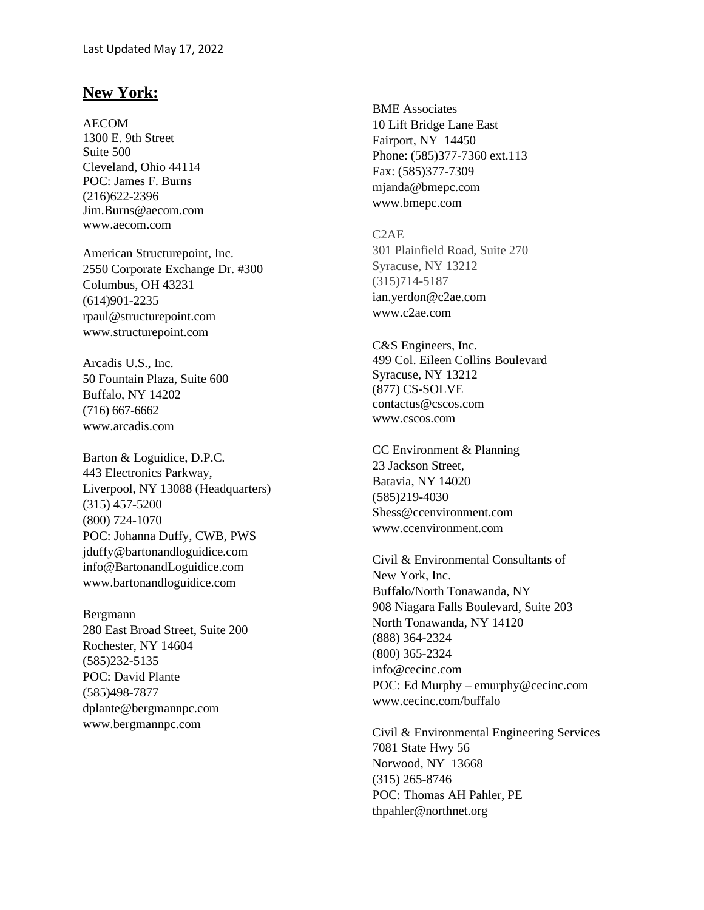## **New York:**

AECOM

1300 E. 9th Street Suite 500 Cleveland, Ohio 44114 POC: James F. Burns (216)622-2396 Jim.Burns@aecom.com www.aecom.com

American Structurepoint, Inc. 2550 Corporate Exchange Dr. #300 Columbus, OH 43231 (614)901-2235 rpaul@structurepoint.com www.structurepoint.com

Arcadis U.S., Inc. 50 Fountain Plaza, Suite 600 Buffalo, NY 14202 (716) 667-6662 www.arcadis.com

Barton & Loguidice, D.P.C. 443 Electronics Parkway, Liverpool, NY 13088 (Headquarters) (315) 457-5200 (800) 724-1070 POC: Johanna Duffy, CWB, PWS jduffy@bartonandloguidice.com info@BartonandLoguidice.com www.bartonandloguidice.com

Bergmann 280 East Broad Street, Suite 200 Rochester, NY 14604 (585)232-5135 POC: David Plante (585)498-7877 dplante@bergmannpc.com www.bergmannpc.com

BME Associates 10 Lift Bridge Lane East Fairport, NY 14450 Phone: (585)377-7360 ext.113 Fax: (585)377-7309 mjanda@bmepc.com www.bmepc.com

C2AE 301 Plainfield Road, Suite 270 Syracuse, NY 13212 (315)714-5187 ian.yerdon@c2ae.com www.c2ae.com

C&S Engineers, Inc. 499 Col. Eileen Collins Boulevard Syracuse, NY 13212 (877) CS-SOLVE contactus@cscos.com www.cscos.com

CC Environment & Planning 23 Jackson Street, Batavia, NY 14020 (585)219-4030 Shess@ccenvironment.com www.ccenvironment.com

Civil & Environmental Consultants of New York, Inc. Buffalo/North Tonawanda, NY 908 Niagara Falls Boulevard, Suite 203 North Tonawanda, NY 14120 (888) 364-2324 (800) 365-2324 info@cecinc.com POC: Ed Murphy – emurphy@cecinc.com www.cecinc.com/buffalo

Civil & Environmental Engineering Services 7081 State Hwy 56 Norwood, NY 13668 (315) 265-8746 POC: Thomas AH Pahler, PE thpahler@northnet.org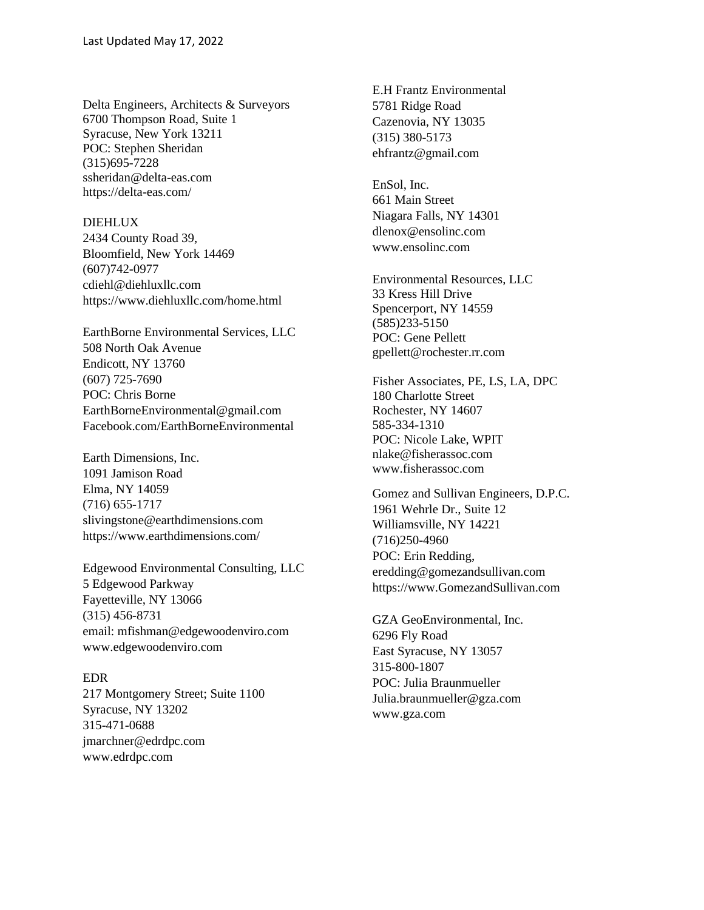Delta Engineers, Architects & Surveyors 6700 Thompson Road, Suite 1 Syracuse, New York 13211 POC: Stephen Sheridan (315)695-7228 ssheridan@delta-eas.com https://delta-eas.com/

#### DIEHLUX

2434 County Road 39, Bloomfield, New York 14469 (607)742-0977 cdiehl@diehluxllc.com https://www.diehluxllc.com/home.html

EarthBorne Environmental Services, LLC 508 North Oak Avenue Endicott, NY 13760 (607) 725-7690 POC: Chris Borne EarthBorneEnvironmental@gmail.com Facebook.com/EarthBorneEnvironmental

Earth Dimensions, Inc. 1091 Jamison Road Elma, NY 14059 (716) 655-1717 [slivingstone@earthdimensions.com](mailto:slivingstone@earthdimensions.com) https://www.earthdimensions.com/

Edgewood Environmental Consulting, LLC 5 Edgewood Parkway Fayetteville, NY 13066 (315) 456-8731 email: mfishman@edgewoodenviro.com www.edgewoodenviro.com

#### EDR

217 Montgomery Street; Suite 1100 Syracuse, NY 13202 315-471-0688 jmarchner@edrdpc.com www.edrdpc.com

E.H Frantz Environmental 5781 Ridge Road Cazenovia, NY 13035 (315) 380-5173 ehfrantz@gmail.com

EnSol, Inc. 661 Main Street Niagara Falls, NY 14301 dlenox@ensolinc.com www.ensolinc.com

Environmental Resources, LLC 33 Kress Hill Drive Spencerport, NY 14559 (585)233-5150 POC: Gene Pellett gpellett@rochester.rr.com

Fisher Associates, PE, LS, LA, DPC 180 Charlotte Street Rochester, NY 14607 585-334-1310 POC: Nicole Lake, WPIT nlake@fisherassoc.com www.fisherassoc.com

Gomez and Sullivan Engineers, D.P.C. 1961 Wehrle Dr., Suite 12 Williamsville, NY 14221 (716)250-4960 POC: Erin Redding, eredding@gomezandsullivan.com https://www.GomezandSullivan.com

GZA GeoEnvironmental, Inc. 6296 Fly Road East Syracuse, NY 13057 315-800-1807 POC: Julia Braunmueller Julia.braunmueller@gza.com www.gza.com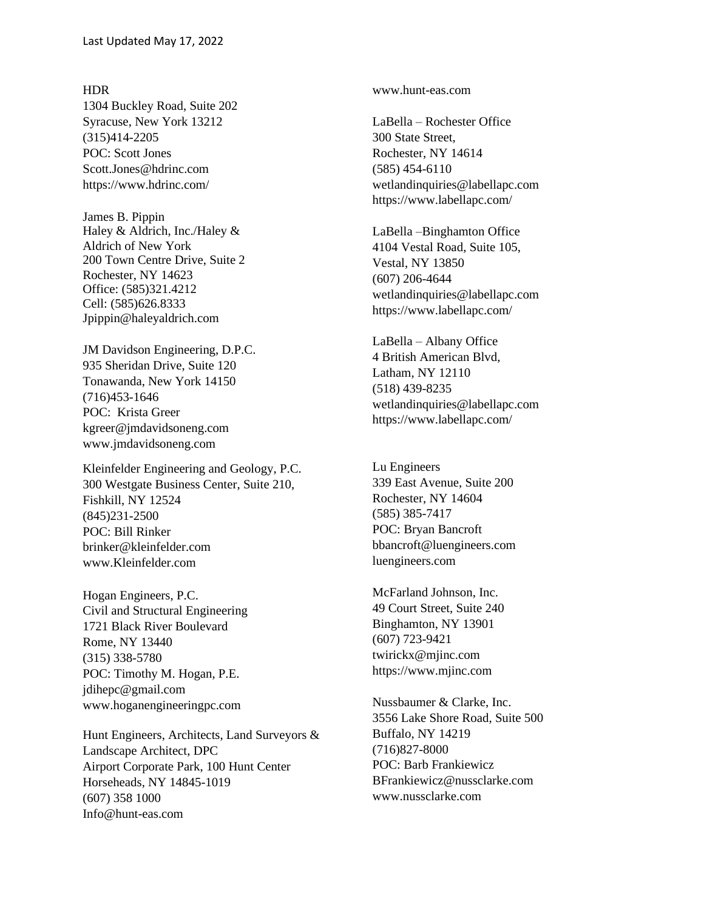#### HDR

1304 Buckley Road, Suite 202 Syracuse, New York 13212 (315)414-2205 POC: Scott Jones Scott.Jones@hdrinc.com https://www.hdrinc.com/

James B. Pippin Haley & Aldrich, Inc./Haley & Aldrich of New York 200 Town Centre Drive, Suite 2 Rochester, NY 14623 Office: (585)321.4212 Cell: (585)626.8333 Jpippin@haleyaldrich.com

JM Davidson Engineering, D.P.C. 935 Sheridan Drive, Suite 120 Tonawanda, New York 14150 (716)453-1646 POC: Krista Greer kgreer@jmdavidsoneng.com www.jmdavidsoneng.com

Kleinfelder Engineering and Geology, P.C. 300 Westgate Business Center, Suite 210, Fishkill, NY 12524 (845)231-2500 POC: Bill Rinker brinker@kleinfelder.com www.Kleinfelder.com

Hogan Engineers, P.C. Civil and Structural Engineering 1721 Black River Boulevard Rome, NY 13440 (315) 338-5780 POC: Timothy M. Hogan, P.E. jdihepc@gmail.com www.hoganengineeringpc.com

Hunt Engineers, Architects, Land Surveyors & Landscape Architect, DPC Airport Corporate Park, 100 Hunt Center Horseheads, NY 14845-1019 (607) 358 1000 Info@hunt-eas.com

www.hunt-eas.com

LaBella – Rochester Office 300 State Street, Rochester, NY 14614 (585) 454-6110 wetlandinquiries@labellapc.com https://www.labellapc.com/

LaBella –Binghamton Office 4104 Vestal Road, Suite 105, Vestal, NY 13850 (607) 206-4644 wetlandinquiries@labellapc.com https://www.labellapc.com/

LaBella – Albany Office 4 British American Blvd, Latham, NY 12110 (518) 439-8235 wetlandinquiries@labellapc.com https://www.labellapc.com/

Lu Engineers 339 East Avenue, Suite 200 Rochester, NY 14604 (585) 385-7417 POC: Bryan Bancroft bbancroft@luengineers.com luengineers.com

McFarland Johnson, Inc. 49 Court Street, Suite 240 Binghamton, NY 13901 (607) 723-9421 twirickx@mjinc.com https://www.mjinc.com

Nussbaumer & Clarke, Inc. 3556 Lake Shore Road, Suite 500 Buffalo, NY 14219 (716)827-8000 POC: Barb Frankiewicz BFrankiewicz@nussclarke.com www.nussclarke.com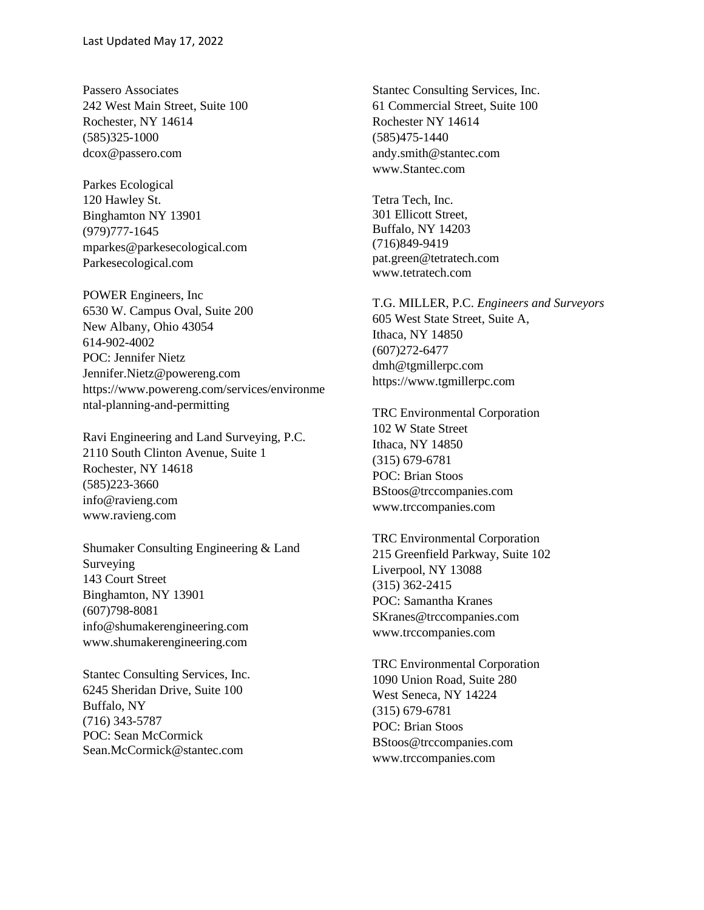Passero Associates 242 West Main Street, Suite 100 Rochester, NY 14614 (585)325-1000 dcox@passero.com

Parkes Ecological 120 Hawley St. Binghamton NY 13901 (979)777-1645 mparkes@parkesecological.com Parkesecological.com

POWER Engineers, Inc 6530 W. Campus Oval, Suite 200 New Albany, Ohio 43054 614-902-4002 POC: Jennifer Nietz Jennifer.Nietz@powereng.com https://www.powereng.com/services/environme ntal-planning-and-permitting

Ravi Engineering and Land Surveying, P.C. 2110 South Clinton Avenue, Suite 1 Rochester, NY 14618 (585)223-3660 info@ravieng.com www.ravieng.com

Shumaker Consulting Engineering & Land Surveying 143 Court Street Binghamton, NY 13901 (607)798-8081 info@shumakerengineering.com www.shumakerengineering.com

Stantec Consulting Services, Inc. 6245 Sheridan Drive, Suite 100 Buffalo, NY (716) 343-5787 POC: Sean McCormick Sean.McCormick@stantec.com

Stantec Consulting Services, Inc. 61 Commercial Street, Suite 100 Rochester NY 14614 (585)475-1440 andy.smith@stantec.com www.Stantec.com

Tetra Tech, Inc. 301 Ellicott Street, Buffalo, NY 14203 (716)849-9419 pat.green@tetratech.com www.tetratech.com

T.G. MILLER, P.C. *Engineers and Surveyors* 605 West State Street, Suite A, Ithaca, NY 14850 (607)272-6477 dmh@tgmillerpc.com https://www.tgmillerpc.com

TRC Environmental Corporation 102 W State Street Ithaca, NY 14850 (315) 679-6781 POC: Brian Stoos BStoos@trccompanies.com www.trccompanies.com

TRC Environmental Corporation 215 Greenfield Parkway, Suite 102 Liverpool, NY 13088 (315) 362-2415 POC: Samantha Kranes SKranes@trccompanies.com www.trccompanies.com

TRC Environmental Corporation 1090 Union Road, Suite 280 West Seneca, NY 14224 (315) 679-6781 POC: Brian Stoos BStoos@trccompanies.com www.trccompanies.com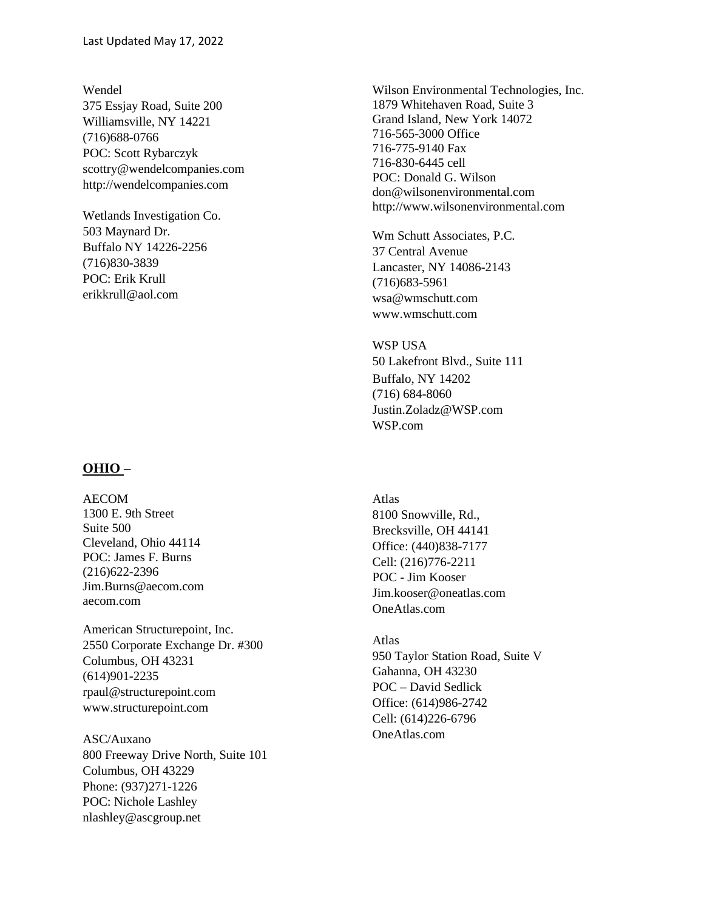Wendel 375 Essjay Road, Suite 200 Williamsville, NY 14221 (716)688-0766 POC: Scott Rybarczyk scottry@wendelcompanies.com http://wendelcompanies.com

Wetlands Investigation Co. 503 Maynard Dr. Buffalo NY 14226-2256 (716)830-3839 POC: Erik Krull erikkrull@aol.com

### **OHIO –**

AECOM 1300 E. 9th Street Suite 500 Cleveland, Ohio 44114 POC: James F. Burns (216)622-2396 Jim.Burns@aecom.com aecom.com

American Structurepoint, Inc. 2550 Corporate Exchange Dr. #300 Columbus, OH 43231 (614)901-2235 rpaul@structurepoint.com www.structurepoint.com

ASC/Auxano 800 Freeway Drive North, Suite 101 Columbus, OH 43229 Phone: (937)271-1226 POC: Nichole Lashley nlashley@ascgroup.net

Wilson Environmental Technologies, Inc. 1879 Whitehaven Road, Suite 3 Grand Island, New York 14072 716-565-3000 Office 716-775-9140 Fax 716-830-6445 cell POC: Donald G. Wilson don@wilsonenvironmental.com http://www.wilsonenvironmental.com

Wm Schutt Associates, P.C. 37 Central Avenue Lancaster, NY 14086-2143 (716)683-5961 wsa@wmschutt.com www.wmschutt.com

WSP USA 50 Lakefront Blvd., Suite 111 Buffalo, NY 14202 (716) 684-8060 Justin.Zoladz@WSP.com WSP.com

Atlas 8100 Snowville, Rd., Brecksville, OH 44141 Office: (440)838-7177 Cell: (216)776-2211 POC - Jim Kooser Jim.kooser@oneatlas.com OneAtlas.com

Atlas 950 Taylor Station Road, Suite V Gahanna, OH 43230 POC – David Sedlick Office: (614)986-2742 Cell: (614)226-6796 OneAtlas.com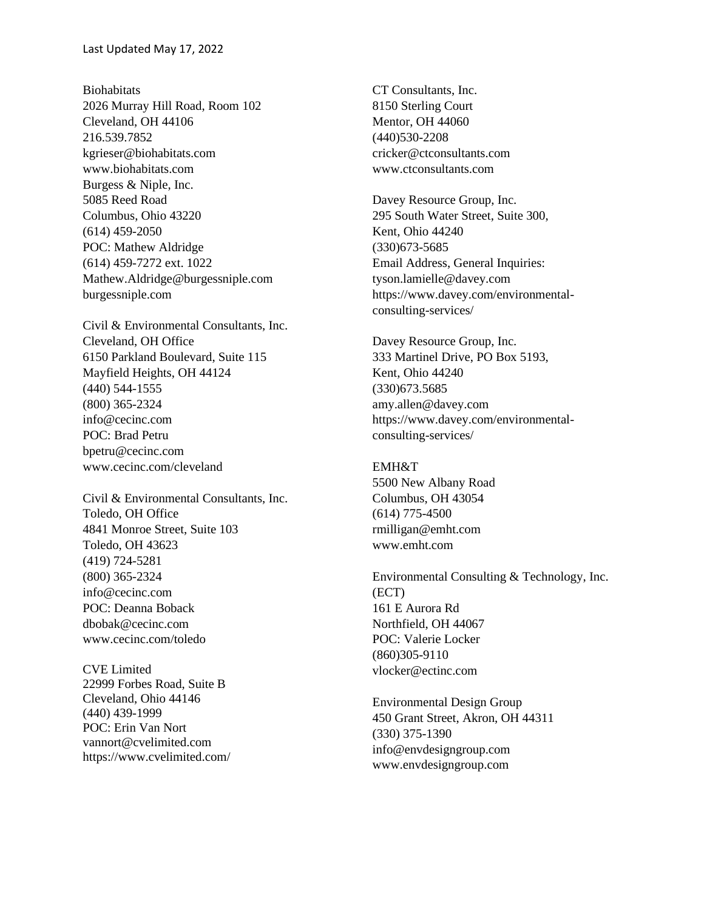Biohabitats 2026 Murray Hill Road, Room 102 Cleveland, OH 44106 216.539.7852 kgrieser@biohabitats.com www.biohabitats.com Burgess & Niple, Inc. 5085 Reed Road Columbus, Ohio 43220 (614) 459-2050 POC: Mathew Aldridge (614) 459-7272 ext. 1022 Mathew.Aldridge@burgessniple.com burgessniple.com

Civil & Environmental Consultants, Inc. Cleveland, OH Office 6150 Parkland Boulevard, Suite 115 Mayfield Heights, OH 44124 (440) 544-1555 (800) 365-2324 info@cecinc.com POC: Brad Petru bpetru@cecinc.com www.cecinc.com/cleveland

Civil & Environmental Consultants, Inc. Toledo, OH Office 4841 Monroe Street, Suite 103 Toledo, OH 43623 (419) 724-5281 (800) 365-2324 info@cecinc.com POC: Deanna Boback dbobak@cecinc.com www.cecinc.com/toledo

CVE Limited 22999 Forbes Road, Suite B Cleveland, Ohio 44146 (440) 439-1999 POC: Erin Van Nort [vannort@cvelimited.com](mailto:vannort@cvelimited.com) https://www.cvelimited.co[m/](https://www.cvelimited.com/)

CT Consultants, Inc. 8150 Sterling Court Mentor, OH 44060 (440)530-2208 cricker@ctconsultants.com www.ctconsultants.com

Davey Resource Group, Inc. 295 South Water Street, Suite 300, Kent, Ohio 44240 (330)673-5685 Email Address, General Inquiries: tyson.lamielle@davey.com https://www.davey.com/environmentalconsulting-services/

Davey Resource Group, Inc. 333 Martinel Drive, PO Box 5193, Kent, Ohio 44240 (330)673.5685 amy.allen@davey.com https://www.davey.com/environmentalconsulting-services/

EMH&T 5500 New Albany Road Columbus, OH 43054 (614) 775-4500 rmilligan@emht.com www.emht.com

Environmental Consulting & Technology, Inc. (ECT) 161 E Aurora Rd Northfield, OH 44067 POC: Valerie Locker (860)305-9110 vlocker@ectinc.com

Environmental Design Group 450 Grant Street, Akron, OH 44311 (330) 375-1390 info@envdesigngroup.com www.envdesigngroup.com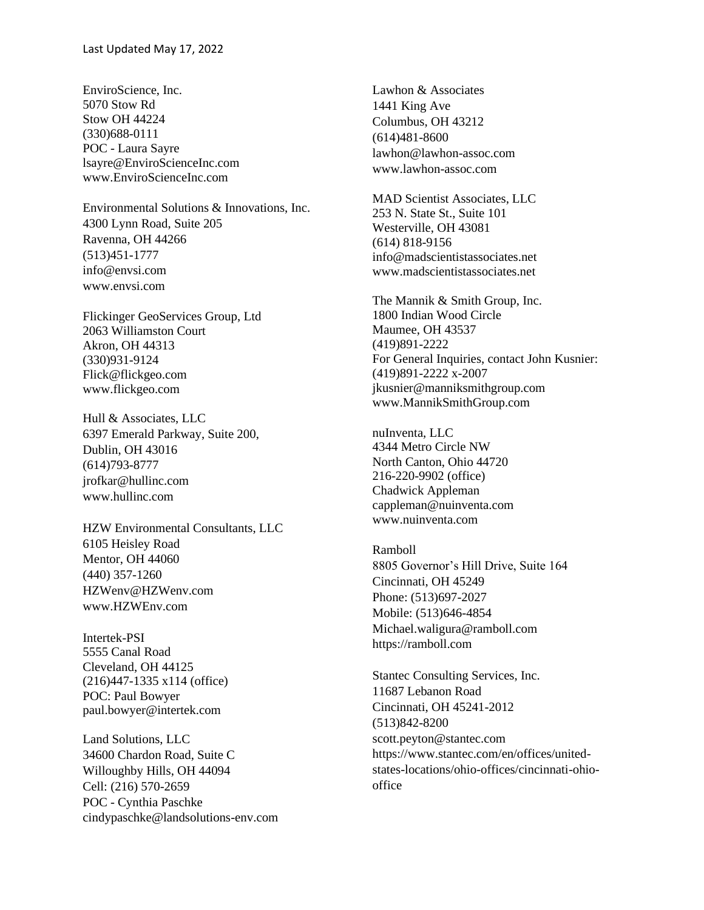EnviroScience, Inc. 5070 Stow Rd Stow OH 44224 (330)688-0111 POC - Laura Sayre lsayre@EnviroScienceInc.com www.EnviroScienceInc.com

Environmental Solutions & Innovations, Inc. 4300 Lynn Road, Suite 205 Ravenna, OH 44266 (513)451-1777 info@envsi.com www.envsi.com

Flickinger GeoServices Group, Ltd 2063 Williamston Court Akron, OH 44313 (330)931-9124 Flick@flickgeo.com www.flickgeo.com

Hull & Associates, LLC 6397 Emerald Parkway, Suite 200, Dublin, OH 43016 (614)793-8777 jrofkar@hullinc.com www.hullinc.com

HZW Environmental Consultants, LLC 6105 Heisley Road Mentor, OH 44060 (440) 357-1260 HZWenv@HZWenv.com www.HZWEnv.com

Intertek-PSI 5555 Canal Road Cleveland, OH 44125 (216)447-1335 x114 (office) POC: Paul Bowyer paul.bowyer@intertek.com

Land Solutions, LLC 34600 Chardon Road, Suite C Willoughby Hills, OH 44094 Cell: (216) 570-2659 POC - Cynthia Paschke cindypaschke@landsolutions-env.com Lawhon & Associates 1441 King Ave Columbus, OH 43212 (614)481-8600 lawhon@lawhon-assoc.com www.lawhon-assoc.com

MAD Scientist Associates, LLC 253 N. State St., Suite 101 Westerville, OH 43081 (614) 818-9156 info@madscientistassociates.net www.madscientistassociates.net

The Mannik & Smith Group, Inc. 1800 Indian Wood Circle Maumee, OH 43537 (419)891-2222 For General Inquiries, contact John Kusnier: (419)891-2222 x-2007 jkusnier@manniksmithgroup.com www.MannikSmithGroup.com

nuInventa, LLC 4344 Metro Circle NW North Canton, Ohio 44720 216-220-9902 (office) Chadwick Appleman cappleman@nuinventa.com www.nuinventa.com

Ramboll 8805 Governor's Hill Drive, Suite 164 Cincinnati, OH 45249 Phone: (513)697-2027 Mobile: (513)646-4854 Michael.waligura@ramboll.com https://ramboll.com

Stantec Consulting Services, Inc. 11687 Lebanon Road Cincinnati, OH 45241-2012 (513)842-8200 scott.peyton@stantec.com https://www.stantec.com/en/offices/unitedstates-locations/ohio-offices/cincinnati-ohiooffice